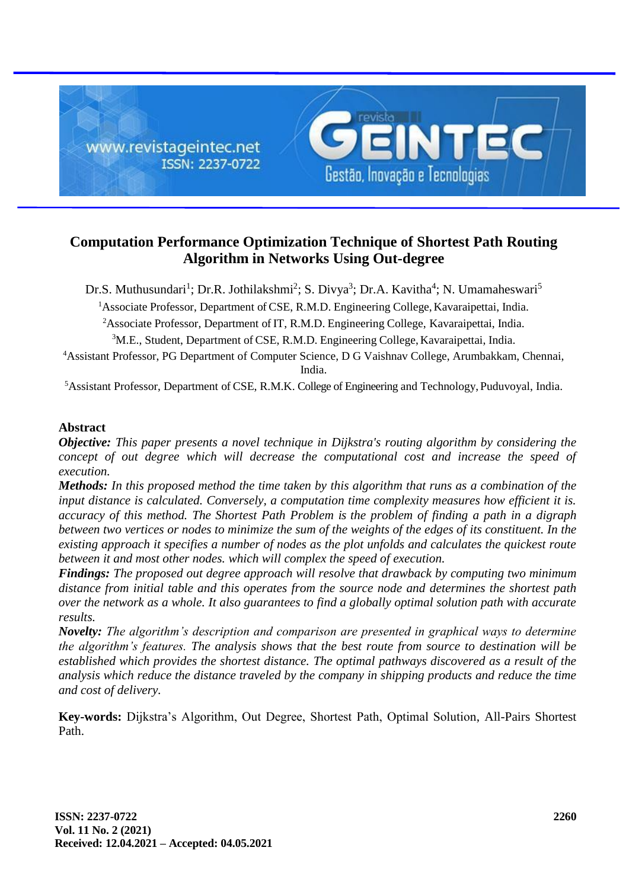

# **Computation Performance Optimization Technique of Shortest Path Routing Algorithm in Networks Using Out-degree**

Dr.S. Muthusundari<sup>1</sup>; Dr.R. Jothilakshmi<sup>2</sup>; S. Divya<sup>3</sup>; Dr.A. Kavitha<sup>4</sup>; N. Umamaheswari<sup>5</sup>

<sup>1</sup>Associate Professor, Department of CSE, R.M.D. Engineering College, Kavaraipettai, India.

<sup>2</sup>Associate Professor, Department of IT, R.M.D. Engineering College, Kavaraipettai, India.

<sup>3</sup>M.E., Student, Department of CSE, R.M.D. Engineering College, Kavaraipettai, India.

<sup>4</sup>Assistant Professor, PG Department of Computer Science, D G Vaishnav College, Arumbakkam, Chennai, India.

<sup>5</sup>Assistant Professor, Department of CSE, R.M.K. College of Engineering and Technology, Puduvoyal, India.

### **Abstract**

*Objective: This paper presents a novel technique in Dijkstra's routing algorithm by considering the concept of out degree which will decrease the computational cost and increase the speed of execution.*

*Methods: In this proposed method the time taken by this algorithm that runs as a combination of the input distance is calculated. Conversely, a computation time complexity measures how efficient it is. accuracy of this method. The Shortest Path Problem is the problem of finding a path in a digraph between two vertices or nodes to minimize the sum of the weights of the edges of its constituent. In the existing approach it specifies a number of nodes as the plot unfolds and calculates the quickest route between it and most other nodes. which will complex the speed of execution.*

*Findings: The proposed out degree approach will resolve that drawback by computing two minimum distance from initial table and this operates from the source node and determines the shortest path over the network as a whole. It also guarantees to find a globally optimal solution path with accurate results.*

*Novelty: The algorithm's description and comparison are presented in graphical ways to determine the algorithm's features. The analysis shows that the best route from source to destination will be established which provides the shortest distance. The optimal pathways discovered as a result of the analysis which reduce the distance traveled by the company in shipping products and reduce the time and cost of delivery.*

**Key-words:** Dijkstra's Algorithm, Out Degree, Shortest Path, Optimal Solution, All-Pairs Shortest Path.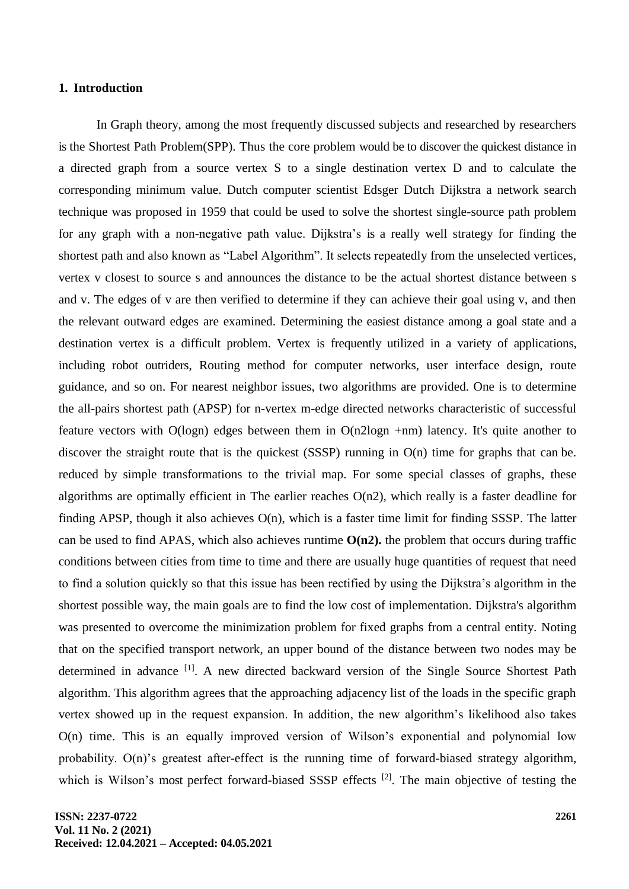#### **1. Introduction**

In Graph theory, among the most frequently discussed subjects and researched by researchers is the Shortest Path Problem(SPP). Thus the core problem would be to discover the quickest distance in a directed graph from a source vertex S to a single destination vertex D and to calculate the corresponding minimum value. Dutch computer scientist Edsger Dutch Dijkstra a network search technique was proposed in 1959 that could be used to solve the shortest single-source path problem for any graph with a non-negative path value. Dijkstra's is a really well strategy for finding the shortest path and also known as "Label Algorithm". It selects repeatedly from the unselected vertices, vertex v closest to source s and announces the distance to be the actual shortest distance between s and v. The edges of v are then verified to determine if they can achieve their goal using v, and then the relevant outward edges are examined. Determining the easiest distance among a goal state and a destination vertex is a difficult problem. Vertex is frequently utilized in a variety of applications, including robot outriders, Routing method for computer networks, user interface design, route guidance, and so on. For nearest neighbor issues, two algorithms are provided. One is to determine the all-pairs shortest path (APSP) for n-vertex m-edge directed networks characteristic of successful feature vectors with O(logn) edges between them in O(n2logn +nm) latency. It's quite another to discover the straight route that is the quickest (SSSP) running in O(n) time for graphs that can be. reduced by simple transformations to the trivial map. For some special classes of graphs, these algorithms are optimally efficient in The earlier reaches  $O(n2)$ , which really is a faster deadline for finding APSP, though it also achieves  $O(n)$ , which is a faster time limit for finding SSSP. The latter can be used to find APAS, which also achieves runtime  $O(n2)$ , the problem that occurs during traffic conditions between cities from time to time and there are usually huge quantities of request that need to find a solution quickly so that this issue has been rectified by using the Dijkstra's algorithm in the shortest possible way, the main goals are to find the low cost of implementation. Dijkstra's algorithm was presented to overcome the minimization problem for fixed graphs from a central entity. Noting that on the specified transport network, an upper bound of the distance between two nodes may be determined in advance <sup>[1]</sup>. A new directed backward version of the Single Source Shortest Path algorithm. This algorithm agrees that the approaching adjacency list of the loads in the specific graph vertex showed up in the request expansion. In addition, the new algorithm's likelihood also takes O(n) time. This is an equally improved version of Wilson's exponential and polynomial low probability. O(n)'s greatest after-effect is the running time of forward-biased strategy algorithm, which is Wilson's most perfect forward-biased SSSP effects<sup>[2]</sup>. The main objective of testing the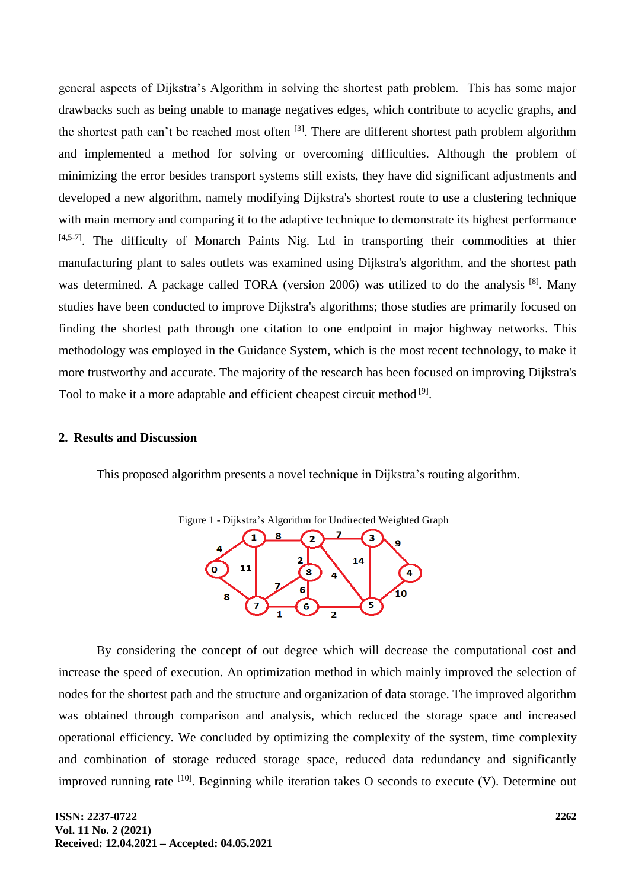general aspects of Dijkstra's Algorithm in solving the shortest path problem. This has some major drawbacks such as being unable to manage negatives edges, which contribute to acyclic graphs, and the shortest path can't be reached most often <sup>[3]</sup>. There are different shortest path problem algorithm and implemented a method for solving or overcoming difficulties. Although the problem of minimizing the error besides transport systems still exists, they have did significant adjustments and developed a new algorithm, namely modifying Dijkstra's shortest route to use a clustering technique with main memory and comparing it to the adaptive technique to demonstrate its highest performance [4,5-7]. The difficulty of Monarch Paints Nig. Ltd in transporting their commodities at thier manufacturing plant to sales outlets was examined using Dijkstra's algorithm, and the shortest path was determined. A package called TORA (version 2006) was utilized to do the analysis<sup>[8]</sup>. Many studies have been conducted to improve Dijkstra's algorithms; those studies are primarily focused on finding the shortest path through one citation to one endpoint in major highway networks. This methodology was employed in the Guidance System, which is the most recent technology, to make it more trustworthy and accurate. The majority of the research has been focused on improving Dijkstra's Tool to make it a more adaptable and efficient cheapest circuit method [9].

#### **2. Results and Discussion**

This proposed algorithm presents a novel technique in Dijkstra's routing algorithm.



By considering the concept of out degree which will decrease the computational cost and increase the speed of execution. An optimization method in which mainly improved the selection of nodes for the shortest path and the structure and organization of data storage. The improved algorithm was obtained through comparison and analysis, which reduced the storage space and increased operational efficiency. We concluded by optimizing the complexity of the system, time complexity and combination of storage reduced storage space, reduced data redundancy and significantly improved running rate  $[10]$ . Beginning while iteration takes O seconds to execute (V). Determine out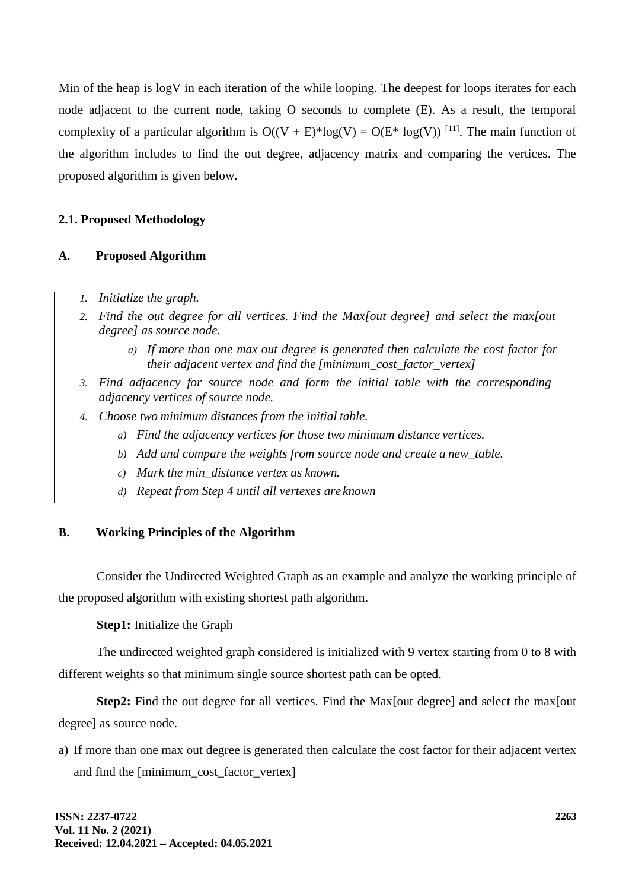Min of the heap is logV in each iteration of the while looping. The deepest for loops iterates for each node adjacent to the current node, taking O seconds to complete (E). As a result, the temporal complexity of a particular algorithm is  $O((V + E)^* \log(V) = O(E^* \log(V))$  [11]. The main function of the algorithm includes to find the out degree, adjacency matrix and comparing the vertices. The proposed algorithm is given below.

## **2.1. Proposed Methodology**

### **A. Proposed Algorithm**

- *1. Initialize the graph.*
- *2. Find the out degree for all vertices. Find the Max[out degree] and select the max[out degree] as source node.*
	- *a) If more than one max out degree is generated then calculate the cost factor for their adjacent vertex and find the [minimum\_cost\_factor\_vertex]*
- *3. Find adjacency for source node and form the initial table with the corresponding adjacency vertices of source node.*
- *4. Choose two minimum distances from the initial table.*
	- *a) Find the adjacency vertices for those two minimum distance vertices.*
	- *b) Add and compare the weights from source node and create a new\_table.*
	- *c) Mark the min\_distance vertex as known.*
	- *d) Repeat from Step 4 until all vertexes are known*

### **B. Working Principles of the Algorithm**

Consider the Undirected Weighted Graph as an example and analyze the working principle of the proposed algorithm with existing shortest path algorithm.

**Step1:** Initialize the Graph

The undirected weighted graph considered is initialized with 9 vertex starting from 0 to 8 with different weights so that minimum single source shortest path can be opted.

**Step2:** Find the out degree for all vertices. Find the Max out degree] and select the max out degree] as source node.

a) If more than one max out degree is generated then calculate the cost factor for their adjacent vertex and find the [minimum\_cost\_factor\_vertex]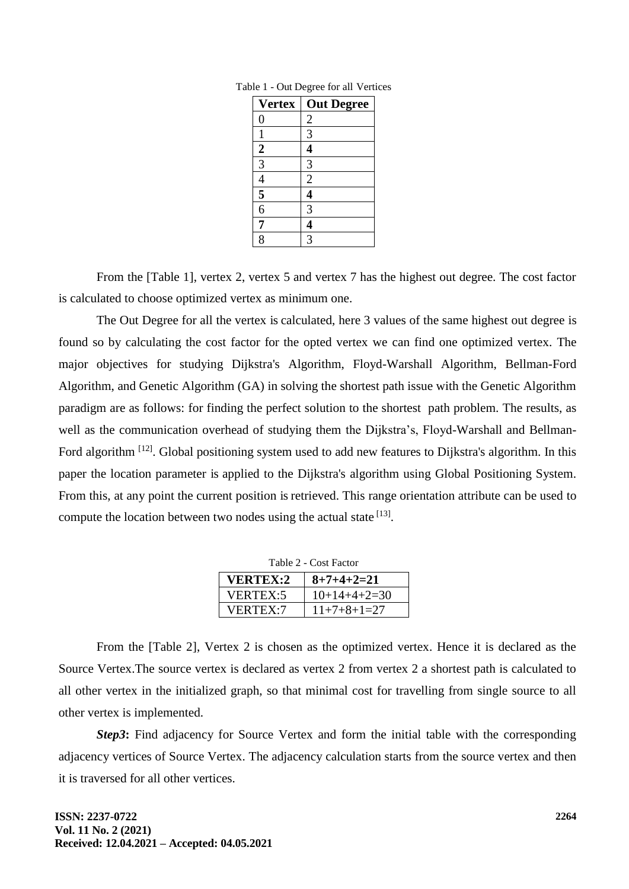| <b>Vertex</b>           | <b>Out Degree</b>       |
|-------------------------|-------------------------|
| 0                       | $\overline{\mathbf{c}}$ |
|                         | 3                       |
| $\overline{\mathbf{c}}$ | 4                       |
| $\overline{3}$          | 3                       |
|                         | $\overline{2}$          |
| $\frac{4}{5}$           | 4                       |
|                         | 3                       |
| 7                       |                         |
| 8                       | 3                       |

Table 1 - Out Degree for all Vertices

From the [Table 1], vertex 2, vertex 5 and vertex 7 has the highest out degree. The cost factor is calculated to choose optimized vertex as minimum one.

The Out Degree for all the vertex is calculated, here 3 values of the same highest out degree is found so by calculating the cost factor for the opted vertex we can find one optimized vertex. The major objectives for studying Dijkstra's Algorithm, Floyd-Warshall Algorithm, Bellman-Ford Algorithm, and Genetic Algorithm (GA) in solving the shortest path issue with the Genetic Algorithm paradigm are as follows: for finding the perfect solution to the shortest path problem. The results, as well as the communication overhead of studying them the Dijkstra's, Floyd-Warshall and Bellman-Ford algorithm <sup>[12]</sup>. Global positioning system used to add new features to Dijkstra's algorithm. In this paper the location parameter is applied to the Dijkstra's algorithm using Global Positioning System. From this, at any point the current position is retrieved. This range orientation attribute can be used to compute the location between two nodes using the actual state [13].

| Table 2 - Cost Factor |                |  |  |  |
|-----------------------|----------------|--|--|--|
| <b>VERTEX:2</b>       | $8+7+4+2=21$   |  |  |  |
| VERTEX:5              | $10+14+4+2=30$ |  |  |  |
| <b>VERTEX:7</b>       | $11+7+8+1=27$  |  |  |  |

From the [Table 2], Vertex 2 is chosen as the optimized vertex. Hence it is declared as the Source Vertex.The source vertex is declared as vertex 2 from vertex 2 a shortest path is calculated to all other vertex in the initialized graph, so that minimal cost for travelling from single source to all other vertex is implemented.

*Step3***:** Find adjacency for Source Vertex and form the initial table with the corresponding adjacency vertices of Source Vertex. The adjacency calculation starts from the source vertex and then it is traversed for all other vertices.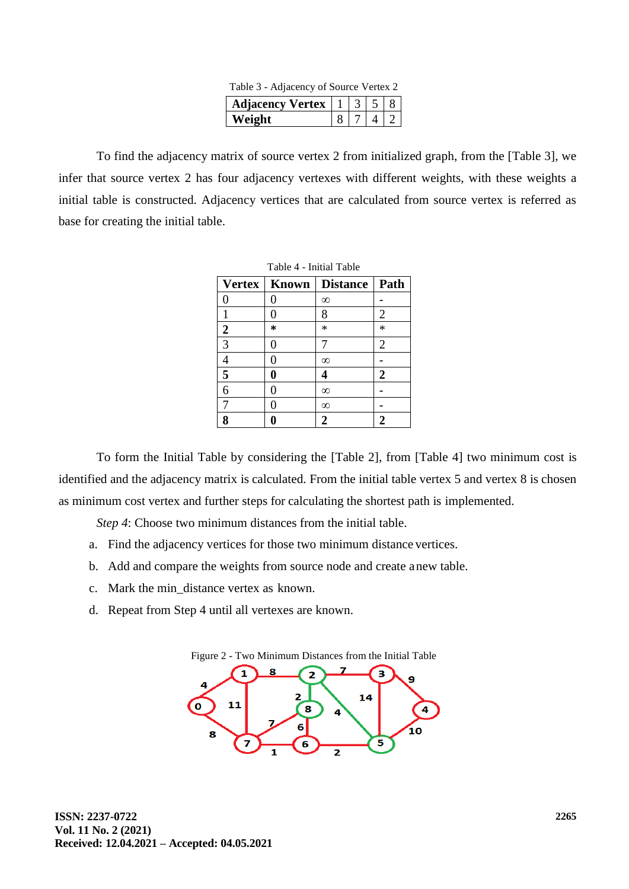| Table 3 - Adjacency of Source Vertex 2             |  |  |  |  |
|----------------------------------------------------|--|--|--|--|
| Adjacency Vertex $\vert 1 \vert 3 \vert 5 \vert 8$ |  |  |  |  |
| Weight                                             |  |  |  |  |

To find the adjacency matrix of source vertex 2 from initialized graph, from the [Table 3], we infer that source vertex 2 has four adjacency vertexes with different weights, with these weights a initial table is constructed. Adjacency vertices that are calculated from source vertex is referred as base for creating the initial table.

| Table 4 - Initial Table |   |                  |                |  |
|-------------------------|---|------------------|----------------|--|
| <b>Vertex</b>           |   | Known   Distance | Path           |  |
| 0                       | 0 | $^\infty$        |                |  |
|                         | 0 | 8                | $\overline{2}$ |  |
| $\mathbf{2}$            | ∗ | $\ast$           | $\ast$         |  |
| 3                       | 0 | 7                | $\overline{2}$ |  |
| 4                       | 0 | $^\infty$        |                |  |
| 5                       | 0 | 4                | 2              |  |
| 6                       | 0 | $\infty$         |                |  |
| 7                       | 0 | $\infty$         |                |  |
| 8                       |   | $\overline{2}$   | $\overline{2}$ |  |

To form the Initial Table by considering the [Table 2], from [Table 4] two minimum cost is identified and the adjacency matrix is calculated. From the initial table vertex 5 and vertex 8 is chosen as minimum cost vertex and further steps for calculating the shortest path is implemented.

*Step 4*: Choose two minimum distances from the initial table.

- a. Find the adjacency vertices for those two minimum distance vertices.
- b. Add and compare the weights from source node and create anew table.
- c. Mark the min\_distance vertex as known.
- d. Repeat from Step 4 until all vertexes are known.

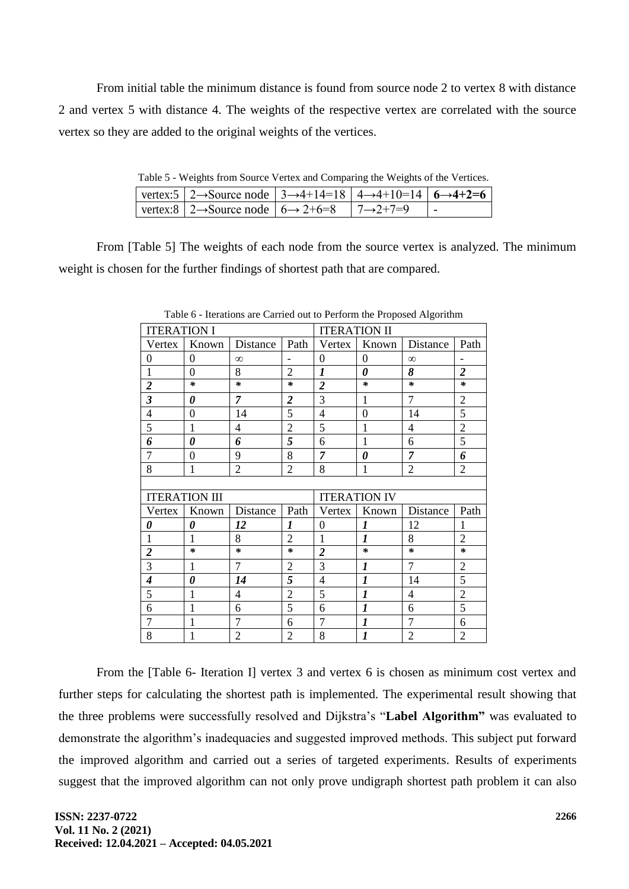From initial table the minimum distance is found from source node 2 to vertex 8 with distance 2 and vertex 5 with distance 4. The weights of the respective vertex are correlated with the source vertex so they are added to the original weights of the vertices.

Table 5 - Weights from Source Vertex and Comparing the Weights of the Vertices.

| vertex:5   2→Source node   3→4+14=18   4→4+10=14   6→4+2=6               |  |  |
|--------------------------------------------------------------------------|--|--|
| vertex:8   2→Source node   $6 \rightarrow 2+6=8$   $7 \rightarrow 2+7=9$ |  |  |

From [Table 5] The weights of each node from the source vertex is analyzed. The minimum weight is chosen for the further findings of shortest path that are compared.

| <b>ITERATION I</b>       |                       |                |                          | <b>ITERATION II</b> |                  |                |                          |
|--------------------------|-----------------------|----------------|--------------------------|---------------------|------------------|----------------|--------------------------|
| Vertex                   | Known                 | Distance       | Path                     | Vertex              | Known            | Distance       | Path                     |
| $\mathbf{0}$             | $\theta$              | $\infty$       | $\overline{\phantom{a}}$ | $\overline{0}$      | $\overline{0}$   | $\infty$       | $\overline{\phantom{0}}$ |
| $\mathbf{1}$             | 0                     | 8              | $\overline{2}$           | 1                   | 0                | 8              | $\overline{2}$           |
| $\overline{\mathbf{c}}$  | $\ast$                | $\ast$         | $\star$                  | $\overline{2}$      | $\ast$           | $\ast$         | $\star$                  |
| $\overline{\mathbf{3}}$  | $\boldsymbol{\theta}$ | $\overline{7}$ | $\overline{2}$           | 3                   | 1                | $\overline{7}$ | $\overline{2}$           |
| $\overline{4}$           | 0                     | 14             | 5                        | $\overline{4}$      | $\overline{0}$   | 14             | 5                        |
| 5                        | 1                     | 4              | $\overline{2}$           | 5                   | 1                | 4              | $\overline{c}$           |
| 6                        | 0                     | 6              | 5                        | 6                   | 1                | 6              | 5                        |
| $\overline{7}$           | $\overline{0}$        | 9              | 8                        | $\overline{7}$      | 0                | $\overline{7}$ | 6                        |
| 8                        | 1                     | $\overline{2}$ | $\overline{2}$           | 8                   | 1                | $\overline{2}$ | $\overline{2}$           |
|                          |                       |                |                          |                     |                  |                |                          |
|                          | <b>ITERATION III</b>  |                |                          | <b>ITERATION IV</b> |                  |                |                          |
| Vertex                   | Known                 | Distance       | Path                     | Vertex              | Known            | Distance       | Path                     |
| 0                        | 0                     | 12             | $\boldsymbol{l}$         | $\overline{0}$      | 1                | 12             | 1                        |
| $\mathbf{1}$             | 1                     | 8              | $\overline{2}$           | 1                   | $\mathbf{I}$     | 8              | $\overline{2}$           |
| $\overline{\mathbf{c}}$  | $\ast$                | $\ast$         | $\ast$                   | $\overline{2}$      | $\ast$           | $\ast$         | $\ast$                   |
| $\overline{3}$           | 1                     | 7              | $\overline{2}$           | 3                   | $\boldsymbol{l}$ | $\overline{7}$ | $\overline{2}$           |
| $\overline{\mathcal{A}}$ | $\theta$              | 14             | 5                        | $\overline{4}$      | $\boldsymbol{l}$ | 14             | $\overline{5}$           |
| 5                        | 1                     | 4              | $\overline{2}$           | 5                   | 1                | 4              | $\overline{2}$           |
| 6                        | 1                     | 6              | 5                        | 6                   | $\boldsymbol{l}$ | 6              | 5                        |
| $\overline{7}$           | 1                     | $\overline{7}$ | 6                        | $\overline{7}$      | $\overline{l}$   | $\overline{7}$ | 6                        |
| 8                        | 1                     | $\overline{2}$ | $\overline{2}$           | 8                   | $\boldsymbol{l}$ | $\overline{2}$ | $\overline{2}$           |

Table 6 - Iterations are Carried out to Perform the Proposed Algorithm

From the [Table 6- Iteration I] vertex 3 and vertex 6 is chosen as minimum cost vertex and further steps for calculating the shortest path is implemented. The experimental result showing that the three problems were successfully resolved and Dijkstra's "**Label Algorithm"** was evaluated to demonstrate the algorithm's inadequacies and suggested improved methods. This subject put forward the improved algorithm and carried out a series of targeted experiments. Results of experiments suggest that the improved algorithm can not only prove undigraph shortest path problem it can also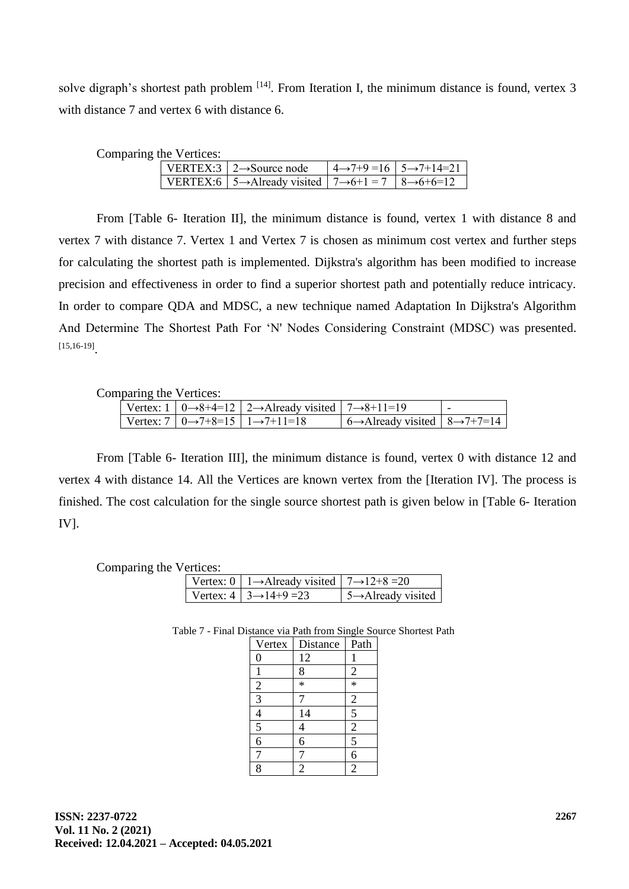solve digraph's shortest path problem  $[14]$ . From Iteration I, the minimum distance is found, vertex 3 with distance 7 and vertex 6 with distance 6.

| Comparing the Vertices: |  |  |
|-------------------------|--|--|
|-------------------------|--|--|

| VERTEX:3   $2 \rightarrow$ Source node                                                        | $4 \rightarrow 7+9 = 16$ $5 \rightarrow 7+14=21$ |
|-----------------------------------------------------------------------------------------------|--------------------------------------------------|
| VERTEX:6   5 $\rightarrow$ Already visited   7 $\rightarrow$ 6+1 = 7   8 $\rightarrow$ 6+6=12 |                                                  |

From [Table 6- Iteration II], the minimum distance is found, vertex 1 with distance 8 and vertex 7 with distance 7. Vertex 1 and Vertex 7 is chosen as minimum cost vertex and further steps for calculating the shortest path is implemented. Dijkstra's algorithm has been modified to increase precision and effectiveness in order to find a superior shortest path and potentially reduce intricacy. In order to compare QDA and MDSC, a new technique named Adaptation In Dijkstra's Algorithm And Determine The Shortest Path For 'N' Nodes Considering Constraint (MDSC) was presented. [15,16-19] .

Comparing the Vertices:

|  | Vertex: 1   0→8+4=12   2→Already visited   7→8+11=19 |                                                                                |  |
|--|------------------------------------------------------|--------------------------------------------------------------------------------|--|
|  | Vertex: 7   0→7+8=15   1→7+11=18                     | $\vert$ 6 $\rightarrow$ Already visited $\vert$ 8 $\rightarrow$ 7+7=14 $\vert$ |  |

From [Table 6- Iteration III], the minimum distance is found, vertex 0 with distance 12 and vertex 4 with distance 14. All the Vertices are known vertex from the [Iteration IV]. The process is finished. The cost calculation for the single source shortest path is given below in [Table 6- Iteration IV].

Comparing the Vertices:

|  | Vertex: 0   1 $\rightarrow$ Already visited   7 $\rightarrow$ 12+8 = 20 |                                               |
|--|-------------------------------------------------------------------------|-----------------------------------------------|
|  | Vertex: $4 \mid 3 \rightarrow 14+9 = 23$                                | $\frac{1}{2}$ 5 $\rightarrow$ Already visited |

Table 7 - Final Distance via Path from Single Source Shortest Path

| Vertex           | Distance       | Path                    |
|------------------|----------------|-------------------------|
| $\boldsymbol{0}$ | 12             |                         |
|                  | 8              | $\frac{2}{1}$           |
|                  | $\ast$         |                         |
| $\frac{2}{3}$    |                | $\overline{c}$          |
|                  | 14             | $\overline{5}$          |
| $\frac{4}{5}$    | 4              | $\overline{2}$          |
|                  | 6              | $\overline{\mathbf{5}}$ |
| $\overline{7}$   |                | $\overline{6}$          |
| 8                | $\overline{2}$ | $\overline{2}$          |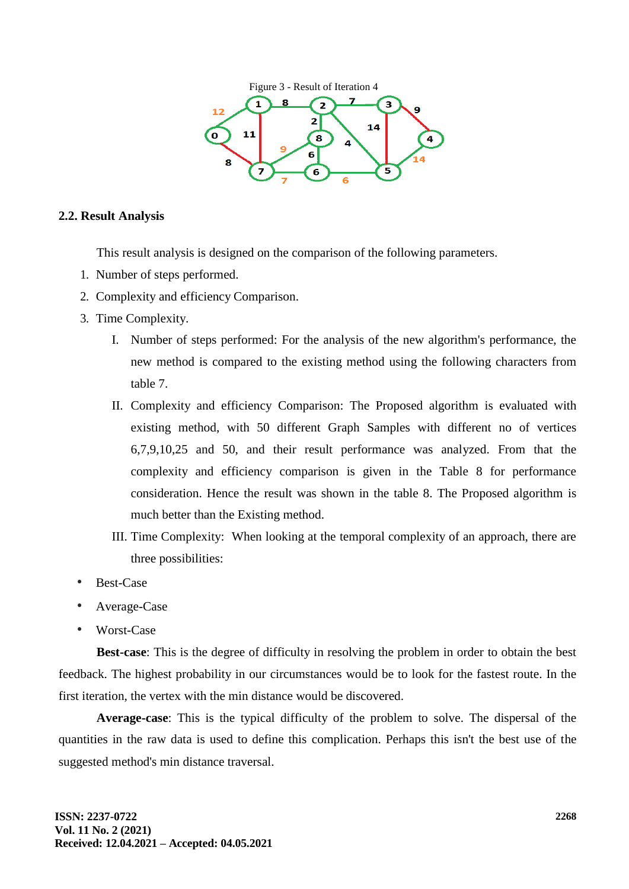

### **2.2. Result Analysis**

This result analysis is designed on the comparison of the following parameters.

- 1. Number of steps performed.
- 2. Complexity and efficiency Comparison.
- 3. Time Complexity.
	- I. Number of steps performed: For the analysis of the new algorithm's performance, the new method is compared to the existing method using the following characters from table 7.
	- II. Complexity and efficiency Comparison: The Proposed algorithm is evaluated with existing method, with 50 different Graph Samples with different no of vertices 6,7,9,10,25 and 50, and their result performance was analyzed. From that the complexity and efficiency comparison is given in the Table 8 for performance consideration. Hence the result was shown in the table 8. The Proposed algorithm is much better than the Existing method.
	- III. Time Complexity: When looking at the temporal complexity of an approach, there are three possibilities:
- Best-Case
- Average-Case
- Worst-Case

**Best-case**: This is the degree of difficulty in resolving the problem in order to obtain the best feedback. The highest probability in our circumstances would be to look for the fastest route. In the first iteration, the vertex with the min distance would be discovered.

**Average-case**: This is the typical difficulty of the problem to solve. The dispersal of the quantities in the raw data is used to define this complication. Perhaps this isn't the best use of the suggested method's min distance traversal.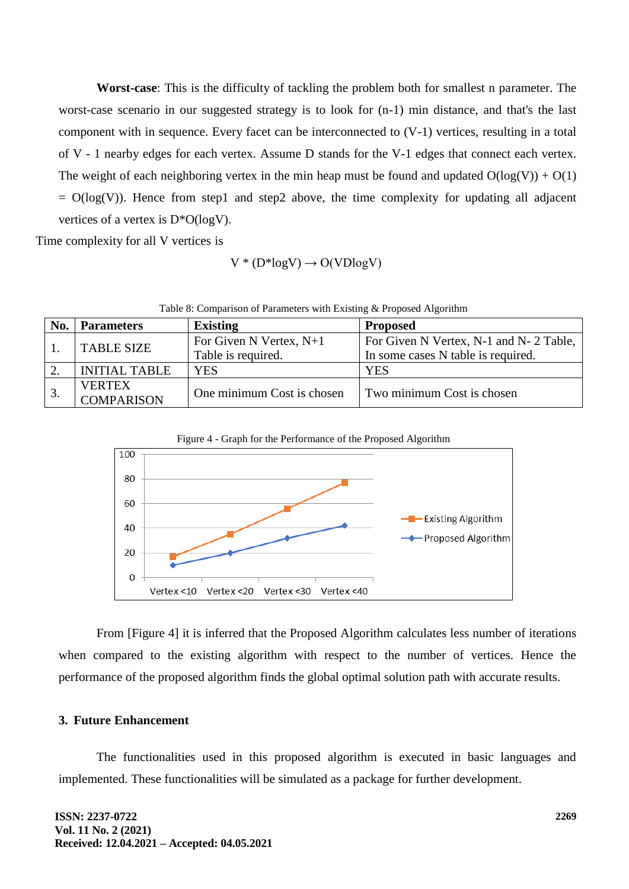**Worst-case**: This is the difficulty of tackling the problem both for smallest n parameter. The worst-case scenario in our suggested strategy is to look for (n-1) min distance, and that's the last component with in sequence. Every facet can be interconnected to (V-1) vertices, resulting in a total of V - 1 nearby edges for each vertex. Assume D stands for the V-1 edges that connect each vertex. The weight of each neighboring vertex in the min heap must be found and updated  $O(log(V)) + O(1)$  $= O(log(V))$ . Hence from step1 and step2 above, the time complexity for updating all adjacent vertices of a vertex is D\*O(logV).

Time complexity for all V vertices is

$$
V * (D * log V) \rightarrow O(VD log V)
$$

| No. | <b>Parameters</b>    | <b>Existing</b>            | <b>Proposed</b>                        |  |
|-----|----------------------|----------------------------|----------------------------------------|--|
|     | <b>TABLE SIZE</b>    | For Given N Vertex, $N+1$  | For Given N Vertex, N-1 and N-2 Table, |  |
|     |                      | Table is required.         | In some cases N table is required.     |  |
|     | <b>INITIAL TABLE</b> | YES                        | <b>YES</b>                             |  |
|     | <b>VERTEX</b>        | One minimum Cost is chosen | Two minimum Cost is chosen             |  |
|     | <b>COMPARISON</b>    |                            |                                        |  |

Table 8: Comparison of Parameters with Existing & Proposed Algorithm





From [Figure 4] it is inferred that the Proposed Algorithm calculates less number of iterations when compared to the existing algorithm with respect to the number of vertices. Hence the performance of the proposed algorithm finds the global optimal solution path with accurate results.

#### **3. Future Enhancement**

The functionalities used in this proposed algorithm is executed in basic languages and implemented. These functionalities will be simulated as a package for further development.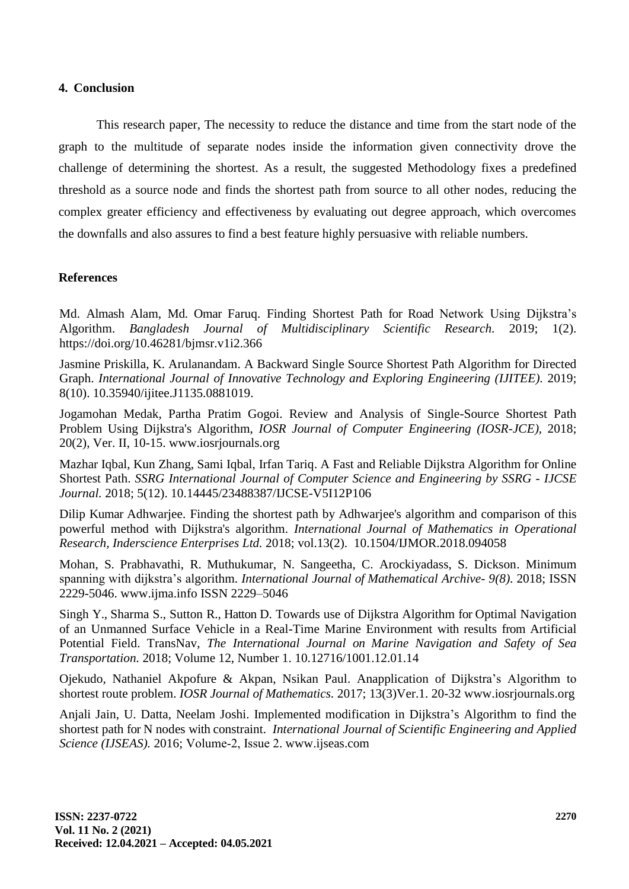#### **4. Conclusion**

This research paper, The necessity to reduce the distance and time from the start node of the graph to the multitude of separate nodes inside the information given connectivity drove the challenge of determining the shortest. As a result, the suggested Methodology fixes a predefined threshold as a source node and finds the shortest path from source to all other nodes, reducing the complex greater efficiency and effectiveness by evaluating out degree approach, which overcomes the downfalls and also assures to find a best feature highly persuasive with reliable numbers.

### **References**

Md. Almash Alam, Md. Omar Faruq. Finding Shortest Path for Road Network Using Dijkstra's Algorithm. *Bangladesh Journal of Multidisciplinary Scientific Research.* 2019; 1(2). https://doi.org/10.46281/bjmsr.v1i2.366

Jasmine Priskilla, K. Arulanandam. A Backward Single Source Shortest Path Algorithm for Directed Graph. *International Journal of Innovative Technology and Exploring Engineering (IJITEE).* 2019; 8(10). 10.35940/ijitee.J1135.0881019.

Jogamohan Medak, Partha Pratim Gogoi. Review and Analysis of Single-Source Shortest Path Problem Using Dijkstra's Algorithm, *IOSR Journal of Computer Engineering (IOSR-JCE),* 2018; 20(2), Ver. II, 10-15. www.iosrjournals.org

Mazhar Iqbal, Kun Zhang, Sami Iqbal, Irfan Tariq. A Fast and Reliable Dijkstra Algorithm for Online Shortest Path. *SSRG International Journal of Computer Science and Engineering by SSRG - IJCSE Journal.* 2018; 5(12). 10.14445/23488387/IJCSE-V5I12P106

Dilip Kumar Adhwarjee. Finding the shortest path by Adhwarjee's algorithm and comparison of this powerful method with Dijkstra's algorithm. *International Journal of Mathematics in Operational Research, Inderscience Enterprises Ltd.* 2018; vol.13(2). 10.1504/IJMOR.2018.094058

Mohan, S. Prabhavathi, R. Muthukumar, N. Sangeetha, C. Arockiyadass, S. Dickson. Minimum spanning with dijkstra's algorithm. *International Journal of Mathematical Archive- 9(8)*. 2018; ISSN 2229-5046. www.ijma.info ISSN 2229–5046

Singh Y., Sharma S., Sutton R., Hatton D. Towards use of Dijkstra Algorithm for Optimal Navigation of an Unmanned Surface Vehicle in a Real-Time Marine Environment with results from Artificial Potential Field. TransNav, *The International Journal on Marine Navigation and Safety of Sea Transportation.* 2018; Volume 12, Number 1. 10.12716/1001.12.01.14

Ojekudo, Nathaniel Akpofure & Akpan, Nsikan Paul. Anapplication of Dijkstra's Algorithm to shortest route problem. *IOSR Journal of Mathematics.* 2017; 13(3)Ver.1. 20-32 www.iosrjournals.org

Anjali Jain, U. Datta, Neelam Joshi. Implemented modification in Dijkstra's Algorithm to find the shortest path for N nodes with constraint. *International Journal of Scientific Engineering and Applied Science (IJSEAS).* 2016; Volume‐2, Issue 2. www.ijseas.com